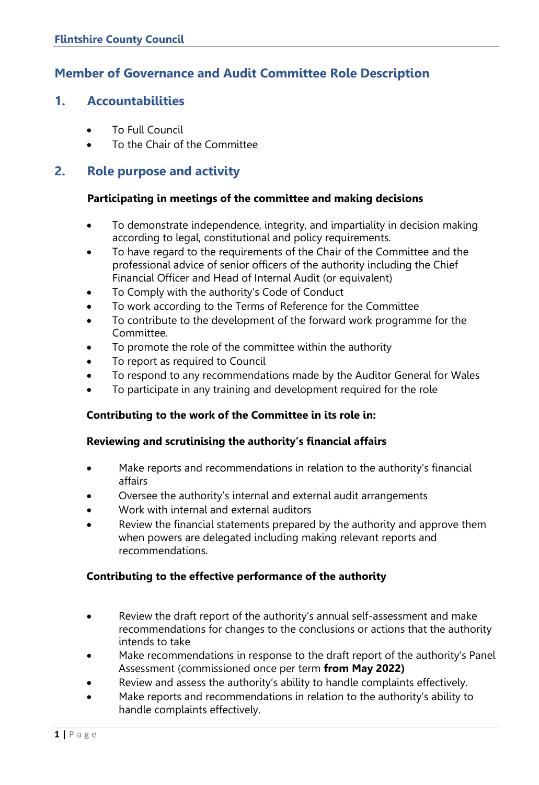# **Member of Governance and Audit Committee Role Description**

## **1. Accountabilities**

- To Full Council
- To the Chair of the Committee

# **2. Role purpose and activity**

### **Participating in meetings of the committee and making decisions**

- To demonstrate independence, integrity, and impartiality in decision making according to legal, constitutional and policy requirements.
- To have regard to the requirements of the Chair of the Committee and the professional advice of senior officers of the authority including the Chief Financial Officer and Head of Internal Audit (or equivalent)
- To Comply with the authority's Code of Conduct
- To work according to the Terms of Reference for the Committee
- To contribute to the development of the forward work programme for the Committee.
- To promote the role of the committee within the authority
- To report as required to Council
- To respond to any recommendations made by the Auditor General for Wales
- To participate in any training and development required for the role

### **Contributing to the work of the Committee in its role in:**

### **Reviewing and scrutinising the authority's financial affairs**

- Make reports and recommendations in relation to the authority's financial affairs
- Oversee the authority's internal and external audit arrangements
- Work with internal and external auditors
- Review the financial statements prepared by the authority and approve them when powers are delegated including making relevant reports and recommendations.

### **Contributing to the effective performance of the authority**

- Review the draft report of the authority's annual self-assessment and make recommendations for changes to the conclusions or actions that the authority intends to take
- Make recommendations in response to the draft report of the authority's Panel Assessment (commissioned once per term **from May 2022)**
- Review and assess the authority's ability to handle complaints effectively.
- Make reports and recommendations in relation to the authority's ability to handle complaints effectively.